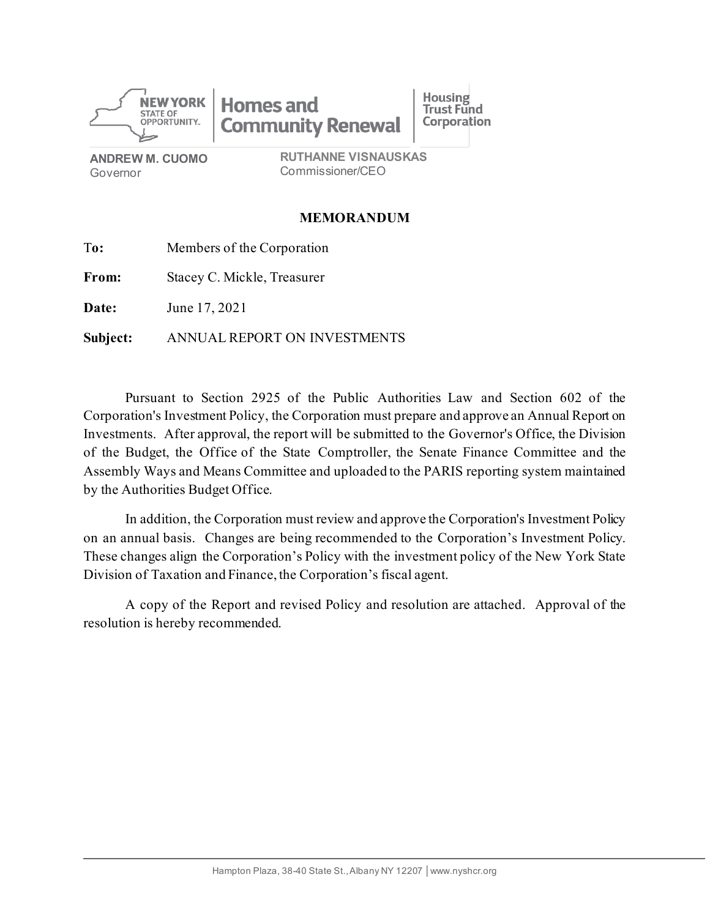

**ANDREW M. CUOMO** Governor

**RUTHANNE VISNAUSKAS** Commissioner/CEO

### **MEMORANDUM**

| To:          | Members of the Corporation   |  |
|--------------|------------------------------|--|
| From:        | Stacey C. Mickle, Treasurer  |  |
| <b>Date:</b> | June 17, 2021                |  |
| Subject:     | ANNUAL REPORT ON INVESTMENTS |  |

Pursuant to Section 2925 of the Public Authorities Law and Section 602 of the Corporation's Investment Policy, the Corporation must prepare and approve an Annual Report on Investments. After approval, the report will be submitted to the Governor's Office, the Division of the Budget, the Office of the State Comptroller, the Senate Finance Committee and the Assembly Ways and Means Committee and uploaded to the PARIS reporting system maintained by the Authorities Budget Office.

In addition, the Corporation must review and approve the Corporation's Investment Policy on an annual basis. Changes are being recommended to the Corporation's Investment Policy. These changes align the Corporation's Policy with the investment policy of the New York State Division of Taxation and Finance, the Corporation's fiscal agent.

A copy of the Report and revised Policy and resolution are attached. Approval of the resolution is hereby recommended.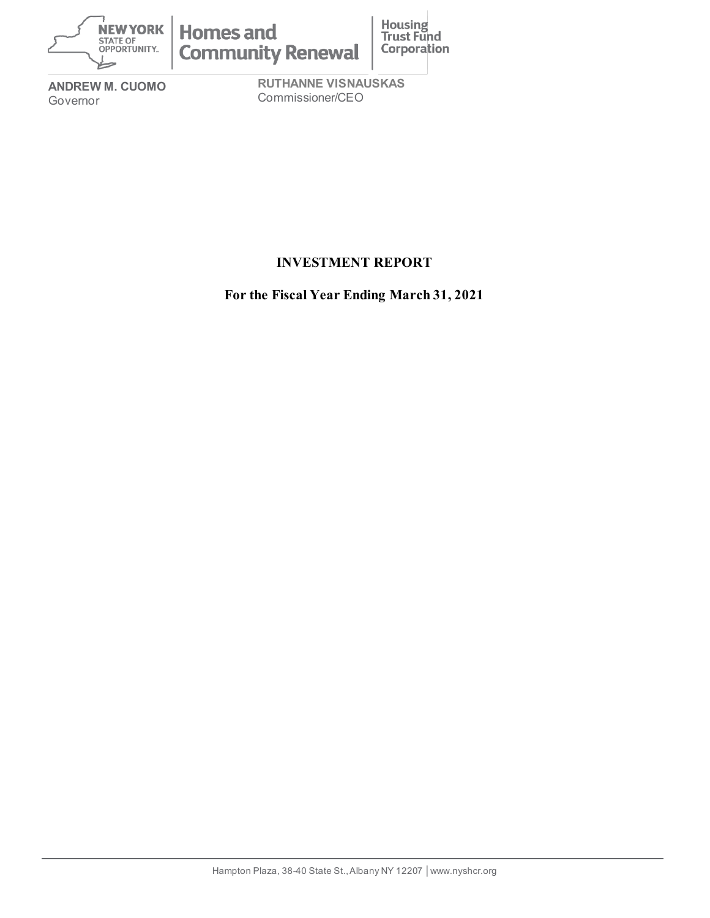

**ANDREW M. CUOMO** Governor

**RUTHANNE VISNAUSKAS** Commissioner/CEO

## **INVESTMENT REPORT**

**For the Fiscal Year Ending March 31, 2021**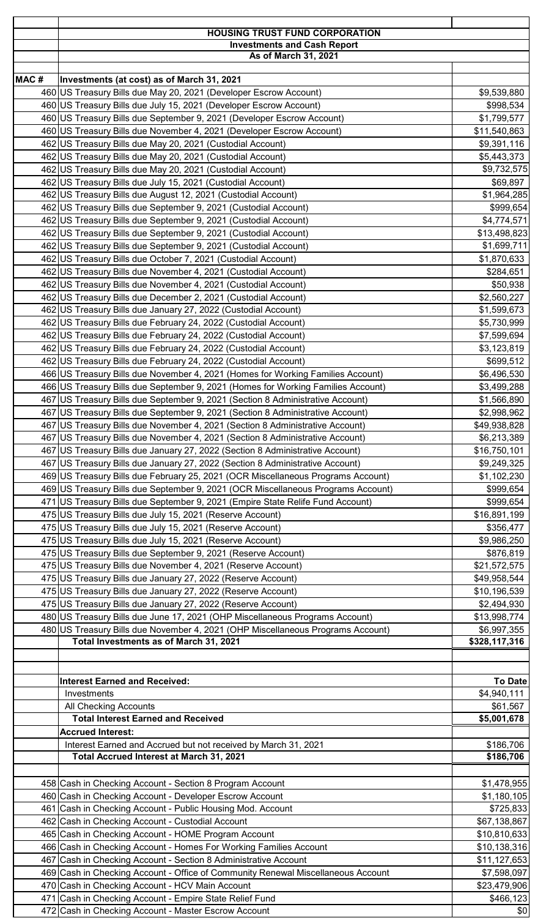|      | <b>HOUSING TRUST FUND CORPORATION</b><br><b>Investments and Cash Report</b>                                                                                         |                               |  |
|------|---------------------------------------------------------------------------------------------------------------------------------------------------------------------|-------------------------------|--|
|      | As of March 31, 2021                                                                                                                                                |                               |  |
|      |                                                                                                                                                                     |                               |  |
| MAC# | Investments (at cost) as of March 31, 2021<br>460 US Treasury Bills due May 20, 2021 (Developer Escrow Account)                                                     | \$9,539,880                   |  |
|      | 460 US Treasury Bills due July 15, 2021 (Developer Escrow Account)                                                                                                  | \$998,534                     |  |
|      | 460 US Treasury Bills due September 9, 2021 (Developer Escrow Account)                                                                                              | \$1,799,577                   |  |
|      | 460 US Treasury Bills due November 4, 2021 (Developer Escrow Account)                                                                                               | \$11,540,863                  |  |
|      | 462 US Treasury Bills due May 20, 2021 (Custodial Account)                                                                                                          | \$9,391,116                   |  |
|      | 462 US Treasury Bills due May 20, 2021 (Custodial Account)                                                                                                          | \$5,443,373                   |  |
|      | 462 US Treasury Bills due May 20, 2021 (Custodial Account)<br>462 US Treasury Bills due July 15, 2021 (Custodial Account)                                           | \$9,732,575<br>\$69,897       |  |
|      | 462 US Treasury Bills due August 12, 2021 (Custodial Account)                                                                                                       | \$1,964,285                   |  |
|      | 462 US Treasury Bills due September 9, 2021 (Custodial Account)                                                                                                     | \$999,654                     |  |
|      | 462 US Treasury Bills due September 9, 2021 (Custodial Account)                                                                                                     | \$4,774,571                   |  |
|      | 462 US Treasury Bills due September 9, 2021 (Custodial Account)                                                                                                     | \$13,498,823                  |  |
|      | 462 US Treasury Bills due September 9, 2021 (Custodial Account)                                                                                                     | \$1,699,711                   |  |
|      | 462 US Treasury Bills due October 7, 2021 (Custodial Account)<br>462 US Treasury Bills due November 4, 2021 (Custodial Account)                                     | \$1,870,633<br>\$284,651      |  |
|      | 462 US Treasury Bills due November 4, 2021 (Custodial Account)                                                                                                      | \$50,938                      |  |
|      | 462 US Treasury Bills due December 2, 2021 (Custodial Account)                                                                                                      | \$2,560,227                   |  |
|      | 462 US Treasury Bills due January 27, 2022 (Custodial Account)                                                                                                      | \$1,599,673                   |  |
|      | 462 US Treasury Bills due February 24, 2022 (Custodial Account)                                                                                                     | \$5,730,999                   |  |
|      | 462 US Treasury Bills due February 24, 2022 (Custodial Account)                                                                                                     | \$7,599,694                   |  |
|      | 462 US Treasury Bills due February 24, 2022 (Custodial Account)                                                                                                     | \$3,123,819                   |  |
|      | 462 US Treasury Bills due February 24, 2022 (Custodial Account)                                                                                                     | \$699,512                     |  |
|      | 466 US Treasury Bills due November 4, 2021 (Homes for Working Families Account)<br>466 US Treasury Bills due September 9, 2021 (Homes for Working Families Account) | \$6,496,530<br>\$3,499,288    |  |
|      | 467 US Treasury Bills due September 9, 2021 (Section 8 Administrative Account)                                                                                      | \$1,566,890                   |  |
|      | 467 US Treasury Bills due September 9, 2021 (Section 8 Administrative Account)                                                                                      | \$2,998,962                   |  |
|      | 467 US Treasury Bills due November 4, 2021 (Section 8 Administrative Account)                                                                                       | \$49,938,828                  |  |
|      | 467 US Treasury Bills due November 4, 2021 (Section 8 Administrative Account)                                                                                       | \$6,213,389                   |  |
| 467  | US Treasury Bills due January 27, 2022 (Section 8 Administrative Account)                                                                                           | \$16,750,101                  |  |
|      | 467 US Treasury Bills due January 27, 2022 (Section 8 Administrative Account)<br>469 US Treasury Bills due February 25, 2021 (OCR Miscellaneous Programs Account)   | \$9,249,325<br>\$1,102,230    |  |
|      | 469 US Treasury Bills due September 9, 2021 (OCR Miscellaneous Programs Account)                                                                                    | \$999,654                     |  |
|      | 471 US Treasury Bills due September 9, 2021 (Empire State Relife Fund Account)                                                                                      | \$999,654                     |  |
|      | 475 US Treasury Bills due July 15, 2021 (Reserve Account)                                                                                                           | \$16,891,199                  |  |
|      | 475 US Treasury Bills due July 15, 2021 (Reserve Account)                                                                                                           | \$356,477                     |  |
|      | 475 US Treasury Bills due July 15, 2021 (Reserve Account)                                                                                                           | \$9,986,250                   |  |
|      | 475 US Treasury Bills due September 9, 2021 (Reserve Account)                                                                                                       | \$876,819                     |  |
|      | 475 US Treasury Bills due November 4, 2021 (Reserve Account)<br>475 US Treasury Bills due January 27, 2022 (Reserve Account)                                        | \$21,572,575<br>\$49,958,544  |  |
|      | 475 US Treasury Bills due January 27, 2022 (Reserve Account)                                                                                                        | \$10,196,539                  |  |
|      | 475 US Treasury Bills due January 27, 2022 (Reserve Account)                                                                                                        | \$2,494,930                   |  |
|      | 480 US Treasury Bills due June 17, 2021 (OHP Miscellaneous Programs Account)                                                                                        | \$13,998,774                  |  |
|      | 480 US Treasury Bills due November 4, 2021 (OHP Miscellaneous Programs Account)                                                                                     | \$6,997,355                   |  |
|      | Total Investments as of March 31, 2021                                                                                                                              | \$328,117,316                 |  |
|      |                                                                                                                                                                     |                               |  |
|      | <b>Interest Earned and Received:</b>                                                                                                                                | <b>To Date</b>                |  |
|      | Investments                                                                                                                                                         | \$4,940,111                   |  |
|      | All Checking Accounts                                                                                                                                               | \$61,567                      |  |
|      | <b>Total Interest Earned and Received</b>                                                                                                                           | \$5,001,678                   |  |
|      | <b>Accrued Interest:</b>                                                                                                                                            |                               |  |
|      | Interest Earned and Accrued but not received by March 31, 2021                                                                                                      | \$186,706                     |  |
|      | Total Accrued Interest at March 31, 2021                                                                                                                            | \$186,706                     |  |
|      | 458 Cash in Checking Account - Section 8 Program Account                                                                                                            | \$1,478,955                   |  |
|      | 460 Cash in Checking Account - Developer Escrow Account                                                                                                             | \$1,180,105                   |  |
|      | 461 Cash in Checking Account - Public Housing Mod. Account                                                                                                          | \$725,833                     |  |
|      | 462 Cash in Checking Account - Custodial Account                                                                                                                    | \$67,138,867                  |  |
|      | 465 Cash in Checking Account - HOME Program Account                                                                                                                 | \$10,810,633                  |  |
|      | 466 Cash in Checking Account - Homes For Working Families Account                                                                                                   | \$10,138,316                  |  |
|      | 467 Cash in Checking Account - Section 8 Administrative Account<br>469 Cash in Checking Account - Office of Community Renewal Miscellaneous Account                 | \$11, 127, 653<br>\$7,598,097 |  |
|      | 470 Cash in Checking Account - HCV Main Account                                                                                                                     | \$23,479,906                  |  |
|      | 471 Cash in Checking Account - Empire State Relief Fund                                                                                                             | \$466,123                     |  |
|      | 472 Cash in Checking Account - Master Escrow Account                                                                                                                | \$0                           |  |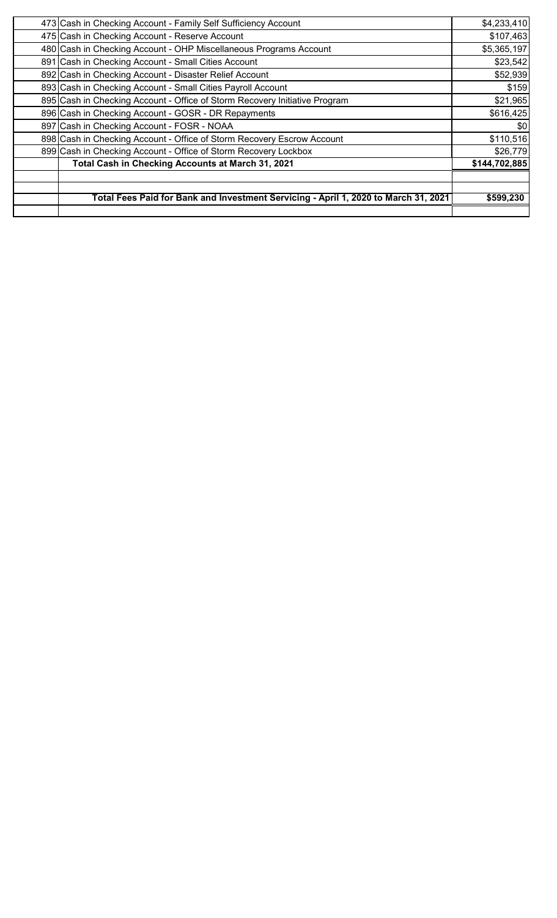| Total Fees Paid for Bank and Investment Servicing - April 1, 2020 to March 31, 2021 | \$599,230     |
|-------------------------------------------------------------------------------------|---------------|
| Total Cash in Checking Accounts at March 31, 2021                                   | \$144,702,885 |
| 899 Cash in Checking Account - Office of Storm Recovery Lockbox                     | \$26,779      |
| 898 Cash in Checking Account - Office of Storm Recovery Escrow Account              | \$110,516     |
| 897 Cash in Checking Account - FOSR - NOAA                                          | \$0           |
| 896 Cash in Checking Account - GOSR - DR Repayments                                 | \$616,425     |
| 895 Cash in Checking Account - Office of Storm Recovery Initiative Program          | \$21,965      |
| 893 Cash in Checking Account - Small Cities Payroll Account                         | \$159         |
| 892 Cash in Checking Account - Disaster Relief Account                              | \$52,939      |
| 891 Cash in Checking Account - Small Cities Account                                 | \$23,542      |
| 480 Cash in Checking Account - OHP Miscellaneous Programs Account                   | \$5,365,197   |
| 475 Cash in Checking Account - Reserve Account                                      | \$107,463     |
| 473 Cash in Checking Account - Family Self Sufficiency Account                      | \$4,233,410   |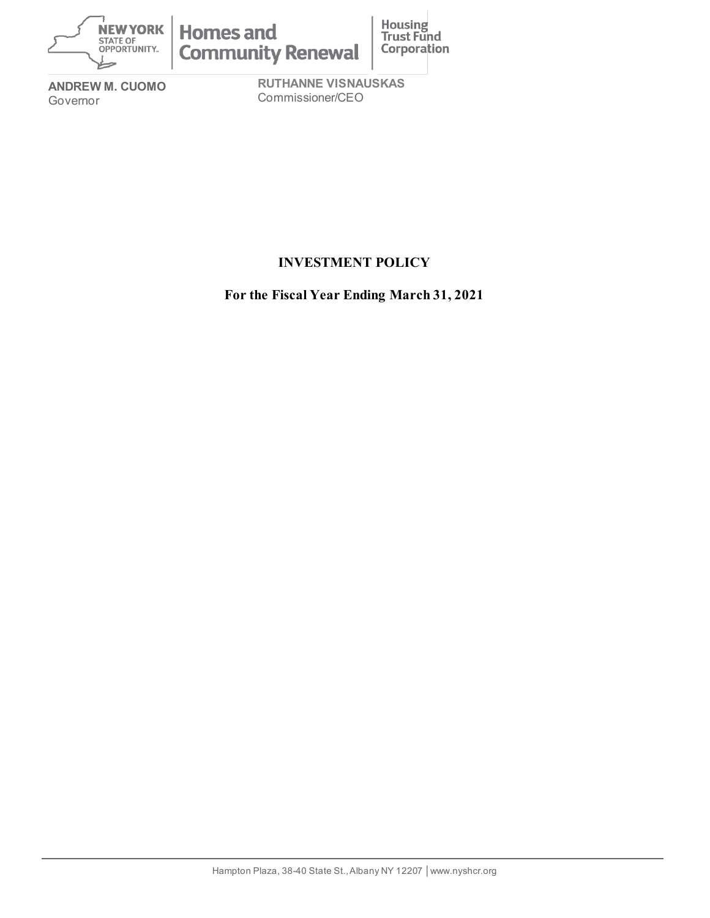

**ANDREW M. CUOMO** Governor

**RUTHANNE VISNAUSKAS** Commissioner/CEO

# **INVESTMENT POLICY**

**For the Fiscal Year Ending March 31, 2021**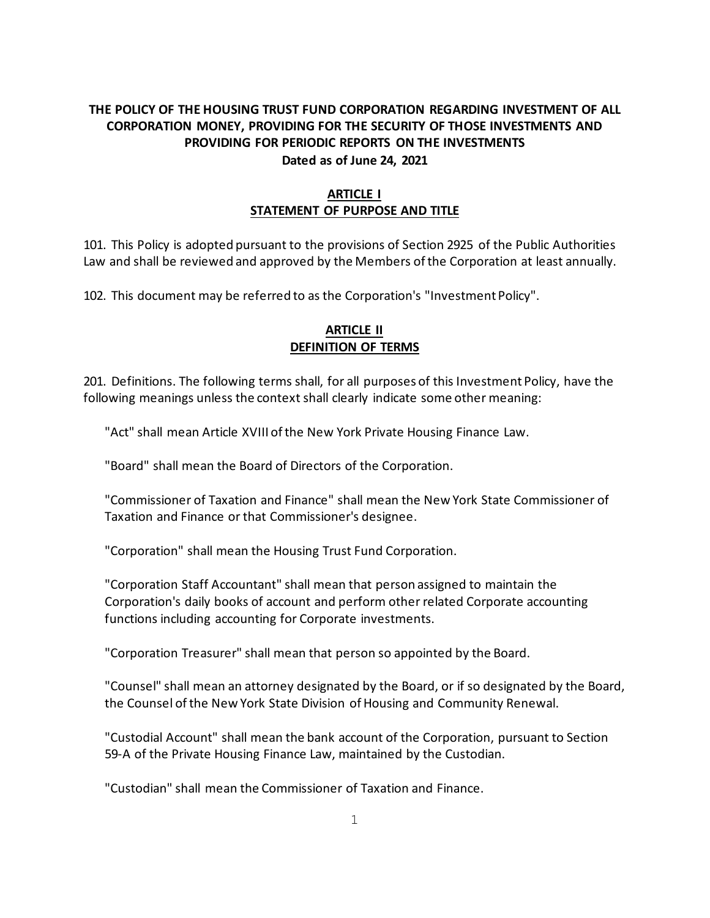### **THE POLICY OF THE HOUSING TRUST FUND CORPORATION REGARDING INVESTMENT OF ALL CORPORATION MONEY, PROVIDING FOR THE SECURITY OF THOSE INVESTMENTS AND PROVIDING FOR PERIODIC REPORTS ON THE INVESTMENTS Dated as of June 24, 2021**

### **ARTICLE I STATEMENT OF PURPOSE AND TITLE**

101. This Policy is adopted pursuant to the provisions of Section 2925 of the Public Authorities Law and shall be reviewed and approved by the Members of the Corporation at least annually.

102. This document may be referred to as the Corporation's "Investment Policy".

### **ARTICLE II DEFINITION OF TERMS**

201. Definitions. The following terms shall, for all purposes of this Investment Policy, have the following meanings unless the context shall clearly indicate some other meaning:

"Act" shall mean Article XVIII of the New York Private Housing Finance Law.

"Board" shall mean the Board of Directors of the Corporation.

"Commissioner of Taxation and Finance" shall mean the New York State Commissioner of Taxation and Finance or that Commissioner's designee.

"Corporation" shall mean the Housing Trust Fund Corporation.

"Corporation Staff Accountant" shall mean that person assigned to maintain the Corporation's daily books of account and perform other related Corporate accounting functions including accounting for Corporate investments.

"Corporation Treasurer" shall mean that person so appointed by the Board.

"Counsel" shall mean an attorney designated by the Board, or if so designated by the Board, the Counsel of the New York State Division of Housing and Community Renewal.

"Custodial Account" shall mean the bank account of the Corporation, pursuant to Section 59-A of the Private Housing Finance Law, maintained by the Custodian.

"Custodian" shall mean the Commissioner of Taxation and Finance.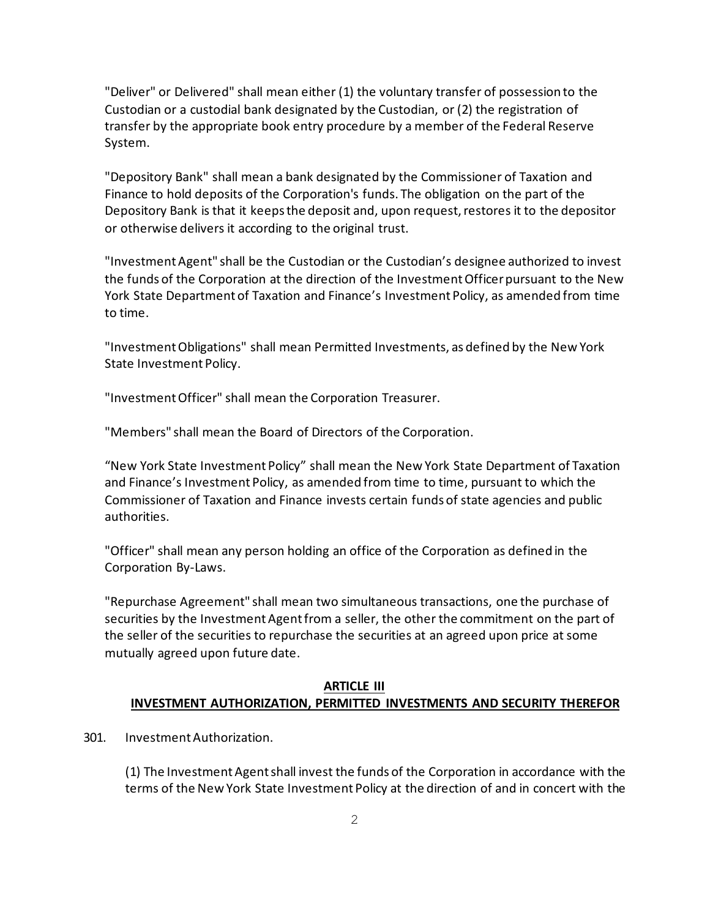"Deliver" or Delivered" shall mean either (1) the voluntary transfer of possession to the Custodian or a custodial bank designated by the Custodian, or (2) the registration of transfer by the appropriate book entry procedure by a member of the Federal Reserve System.

"Depository Bank" shall mean a bank designated by the Commissioner of Taxation and Finance to hold deposits of the Corporation's funds. The obligation on the part of the Depository Bank is that it keeps the deposit and, upon request, restores it to the depositor or otherwise delivers it according to the original trust.

"Investment Agent" shall be the Custodian or the Custodian's designee authorized to invest the funds of the Corporation at the direction of the Investment Officer pursuant to the New York State Department of Taxation and Finance's Investment Policy, as amended from time to time.

"Investment Obligations" shall mean Permitted Investments, as defined by the New York State Investment Policy.

"Investment Officer" shall mean the Corporation Treasurer.

"Members" shall mean the Board of Directors of the Corporation.

"New York State Investment Policy" shall mean the New York State Department of Taxation and Finance's Investment Policy, as amended from time to time, pursuant to which the Commissioner of Taxation and Finance invests certain funds of state agencies and public authorities.

"Officer" shall mean any person holding an office of the Corporation as defined in the Corporation By-Laws.

"Repurchase Agreement" shall mean two simultaneous transactions, one the purchase of securities by the Investment Agent from a seller, the other the commitment on the part of the seller of the securities to repurchase the securities at an agreed upon price at some mutually agreed upon future date.

### **ARTICLE III INVESTMENT AUTHORIZATION, PERMITTED INVESTMENTS AND SECURITY THEREFOR**

301. Investment Authorization.

(1) The Investment Agent shall invest the funds of the Corporation in accordance with the terms of the New York State Investment Policy at the direction of and in concert with the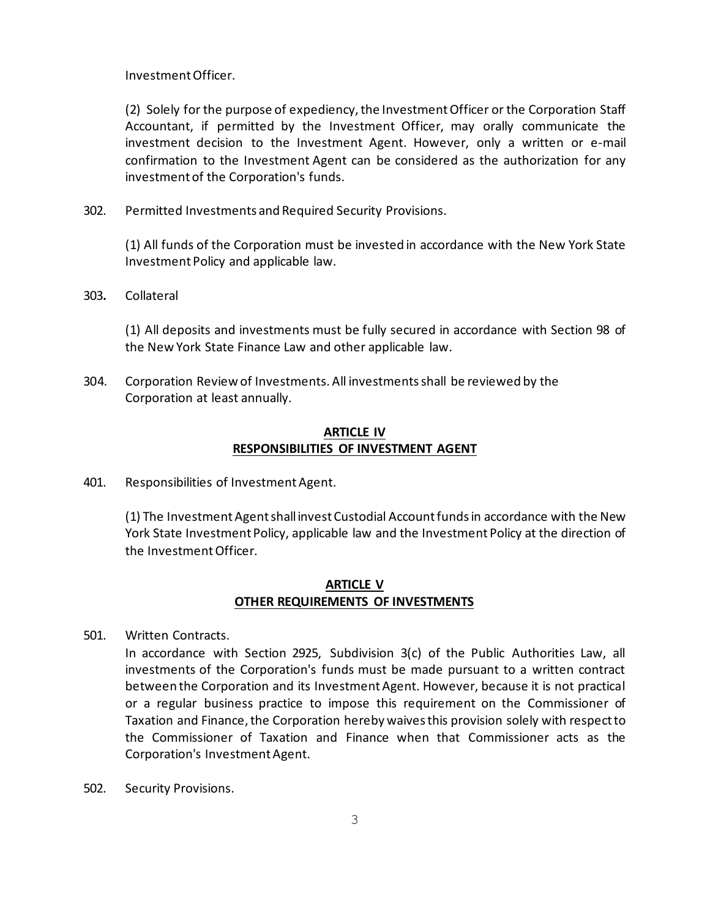InvestmentOfficer.

(2) Solely for the purpose of expediency, the Investment Officer or the Corporation Staff Accountant, if permitted by the Investment Officer, may orally communicate the investment decision to the Investment Agent. However, only a written or e-mail confirmation to the Investment Agent can be considered as the authorization for any investment of the Corporation's funds.

302. Permitted Investments and Required Security Provisions.

(1) All funds of the Corporation must be invested in accordance with the New York State Investment Policy and applicable law.

303**.** Collateral

(1) All deposits and investments must be fully secured in accordance with Section 98 of the New York State Finance Law and other applicable law.

304. Corporation Review of Investments. All investmentsshall be reviewed by the Corporation at least annually.

### **ARTICLE IV RESPONSIBILITIES OF INVESTMENT AGENT**

401. Responsibilities of Investment Agent.

(1) The Investment Agent shall invest Custodial Account funds in accordance with the New York State Investment Policy, applicable law and the Investment Policy at the direction of the Investment Officer.

### **ARTICLE V OTHER REQUIREMENTS OF INVESTMENTS**

501. Written Contracts.

In accordance with Section 2925, Subdivision 3(c) of the Public Authorities Law, all investments of the Corporation's funds must be made pursuant to a written contract between the Corporation and its InvestmentAgent. However, because it is not practical or a regular business practice to impose this requirement on the Commissioner of Taxation and Finance, the Corporation hereby waives this provision solely with respect to the Commissioner of Taxation and Finance when that Commissioner acts as the Corporation's Investment Agent.

502. Security Provisions.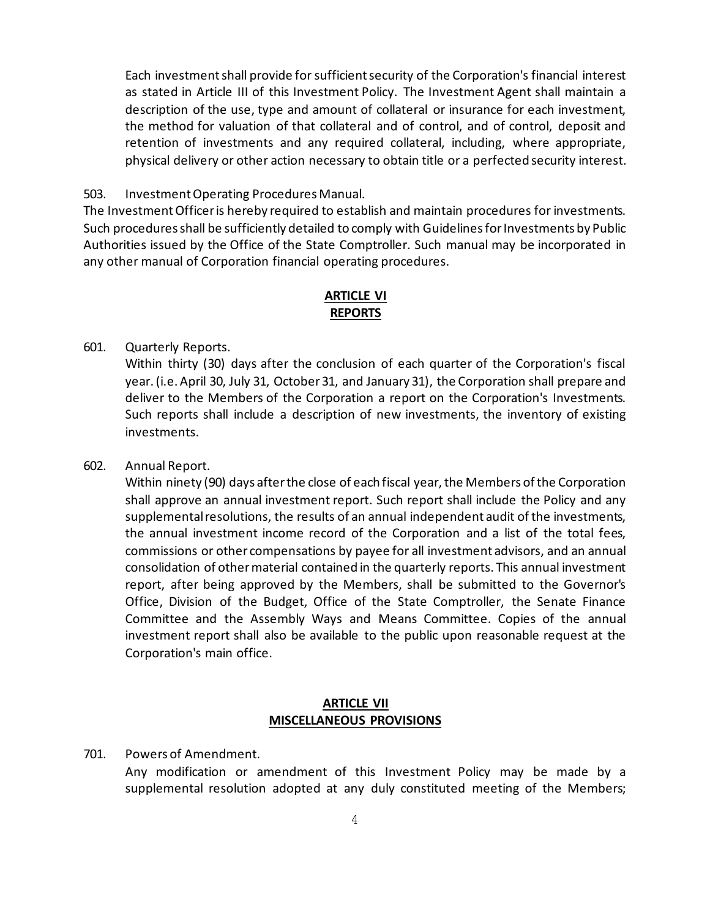Each investment shall provide for sufficient security of the Corporation's financial interest as stated in Article III of this Investment Policy. The Investment Agent shall maintain a description of the use, type and amount of collateral or insurance for each investment, the method for valuation of that collateral and of control, and of control, deposit and retention of investments and any required collateral, including, where appropriate, physical delivery or other action necessary to obtain title or a perfected security interest.

#### 503. Investment Operating Procedures Manual.

The Investment Officer is hereby required to establish and maintain procedures for investments. Such procedures shall be sufficiently detailed to comply with Guidelines for Investments by Public Authorities issued by the Office of the State Comptroller. Such manual may be incorporated in any other manual of Corporation financial operating procedures.

#### **ARTICLE VI REPORTS**

### 601. Quarterly Reports.

Within thirty (30) days after the conclusion of each quarter of the Corporation's fiscal year.(i.e. April 30, July 31, October 31, and January 31), the Corporation shall prepare and deliver to the Members of the Corporation a report on the Corporation's Investments. Such reports shall include a description of new investments, the inventory of existing investments.

#### 602. Annual Report.

Within ninety (90) days after the close of each fiscal year, the Members of the Corporation shall approve an annual investment report. Such report shall include the Policy and any supplemental resolutions, the results of an annual independent audit of the investments, the annual investment income record of the Corporation and a list of the total fees, commissions or other compensations by payee for all investment advisors, and an annual consolidation of other material contained in the quarterly reports. This annual investment report, after being approved by the Members, shall be submitted to the Governor's Office, Division of the Budget, Office of the State Comptroller, the Senate Finance Committee and the Assembly Ways and Means Committee. Copies of the annual investment report shall also be available to the public upon reasonable request at the Corporation's main office.

### **ARTICLE VII MISCELLANEOUS PROVISIONS**

### 701. Powers of Amendment.

Any modification or amendment of this Investment Policy may be made by a supplemental resolution adopted at any duly constituted meeting of the Members;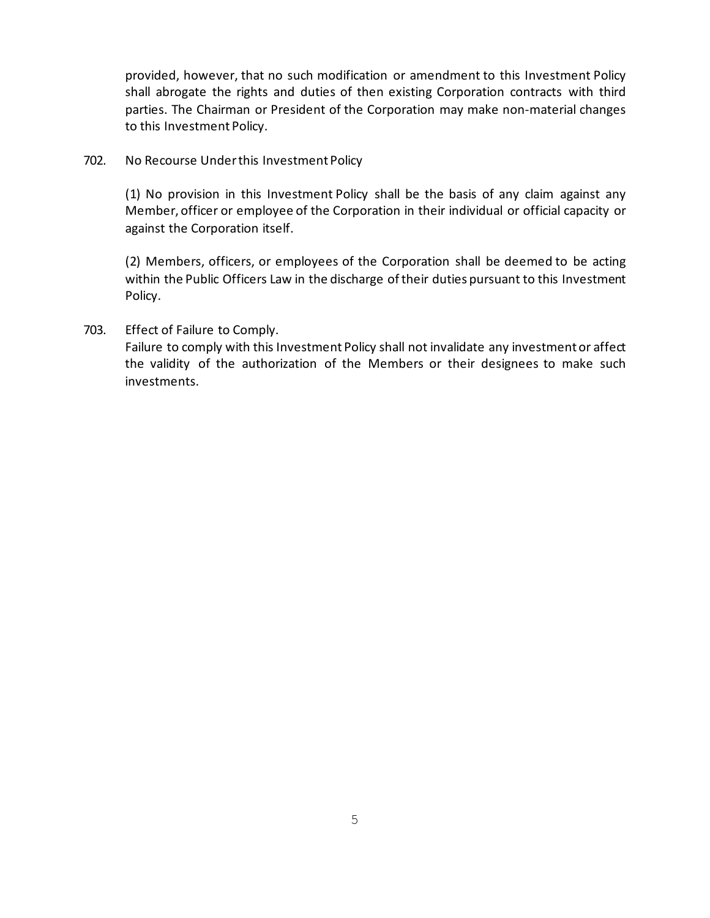provided, however, that no such modification or amendment to this Investment Policy shall abrogate the rights and duties of then existing Corporation contracts with third parties. The Chairman or President of the Corporation may make non-material changes to this Investment Policy.

702. No Recourse Under this Investment Policy

(1) No provision in this Investment Policy shall be the basis of any claim against any Member, officer or employee of the Corporation in their individual or official capacity or against the Corporation itself.

(2) Members, officers, or employees of the Corporation shall be deemed to be acting within the Public Officers Law in the discharge of their duties pursuant to this Investment Policy.

### 703. Effect of Failure to Comply.

Failure to comply with this Investment Policy shall not invalidate any investment or affect the validity of the authorization of the Members or their designees to make such investments.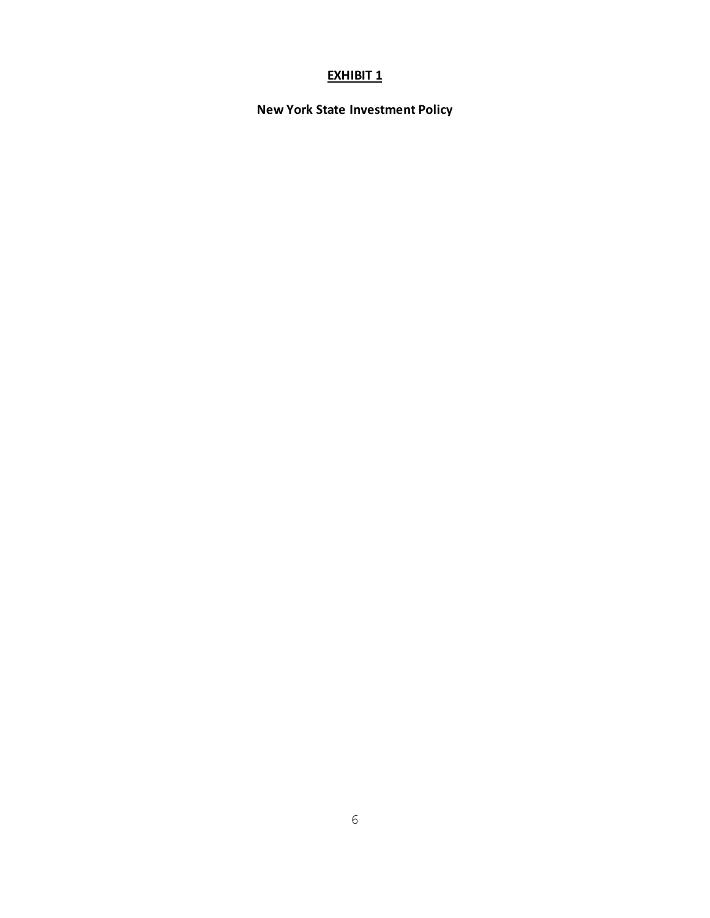### **EXHIBIT 1**

**New York State Investment Policy**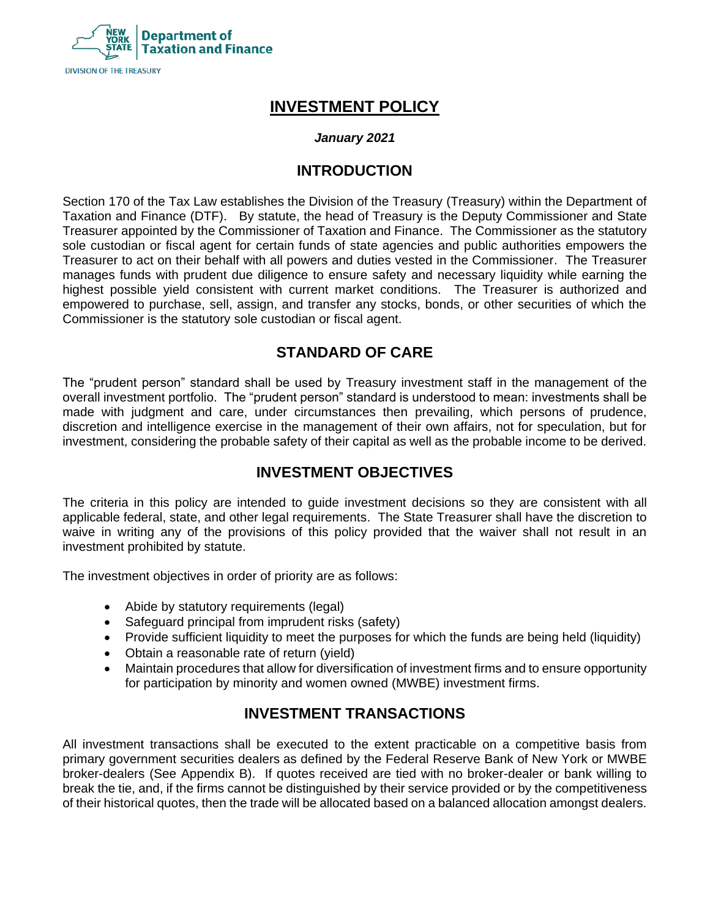

# **INVESTMENT POLICY**

### *January 2021*

### **INTRODUCTION**

Section 170 of the Tax Law establishes the Division of the Treasury (Treasury) within the Department of Taxation and Finance (DTF). By statute, the head of Treasury is the Deputy Commissioner and State Treasurer appointed by the Commissioner of Taxation and Finance. The Commissioner as the statutory sole custodian or fiscal agent for certain funds of state agencies and public authorities empowers the Treasurer to act on their behalf with all powers and duties vested in the Commissioner. The Treasurer manages funds with prudent due diligence to ensure safety and necessary liquidity while earning the highest possible yield consistent with current market conditions. The Treasurer is authorized and empowered to purchase, sell, assign, and transfer any stocks, bonds, or other securities of which the Commissioner is the statutory sole custodian or fiscal agent.

## **STANDARD OF CARE**

The "prudent person" standard shall be used by Treasury investment staff in the management of the overall investment portfolio. The "prudent person" standard is understood to mean: investments shall be made with judgment and care, under circumstances then prevailing, which persons of prudence, discretion and intelligence exercise in the management of their own affairs, not for speculation, but for investment, considering the probable safety of their capital as well as the probable income to be derived.

# **INVESTMENT OBJECTIVES**

The criteria in this policy are intended to guide investment decisions so they are consistent with all applicable federal, state, and other legal requirements. The State Treasurer shall have the discretion to waive in writing any of the provisions of this policy provided that the waiver shall not result in an investment prohibited by statute.

The investment objectives in order of priority are as follows:

- Abide by statutory requirements (legal)
- Safeguard principal from imprudent risks (safety)
- Provide sufficient liquidity to meet the purposes for which the funds are being held (liquidity)
- Obtain a reasonable rate of return (yield)
- Maintain procedures that allow for diversification of investment firms and to ensure opportunity for participation by minority and women owned (MWBE) investment firms.

# **INVESTMENT TRANSACTIONS**

All investment transactions shall be executed to the extent practicable on a competitive basis from primary government securities dealers as defined by the Federal Reserve Bank of New York or MWBE broker-dealers (See Appendix B). If quotes received are tied with no broker-dealer or bank willing to break the tie, and, if the firms cannot be distinguished by their service provided or by the competitiveness of their historical quotes, then the trade will be allocated based on a balanced allocation amongst dealers.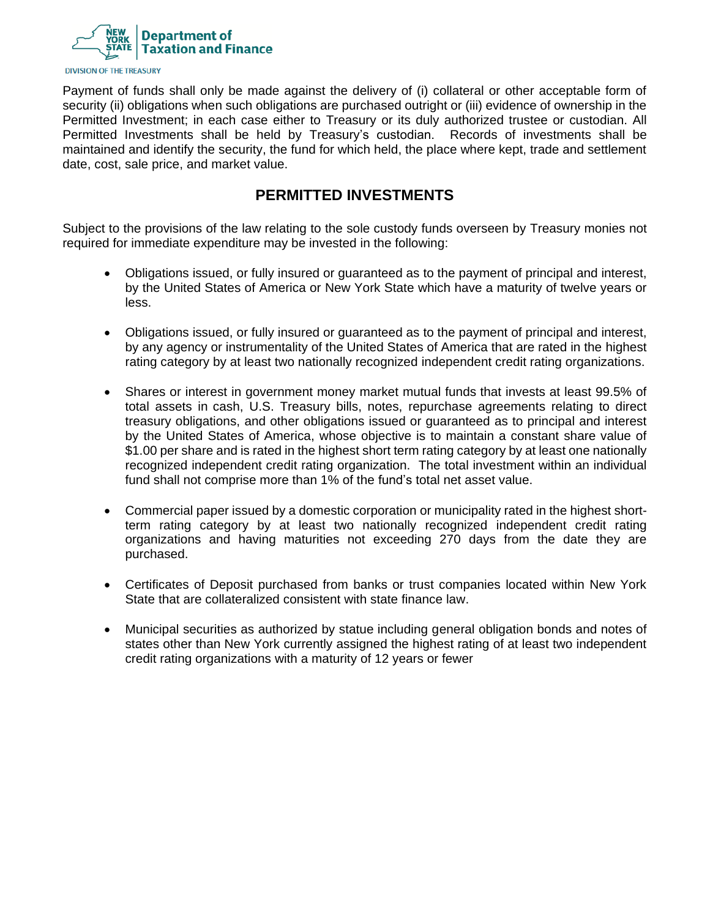

Payment of funds shall only be made against the delivery of (i) collateral or other acceptable form of security (ii) obligations when such obligations are purchased outright or (iii) evidence of ownership in the Permitted Investment; in each case either to Treasury or its duly authorized trustee or custodian. All Permitted Investments shall be held by Treasury's custodian. Records of investments shall be maintained and identify the security, the fund for which held, the place where kept, trade and settlement date, cost, sale price, and market value.

## **PERMITTED INVESTMENTS**

Subject to the provisions of the law relating to the sole custody funds overseen by Treasury monies not required for immediate expenditure may be invested in the following:

- Obligations issued, or fully insured or guaranteed as to the payment of principal and interest, by the United States of America or New York State which have a maturity of twelve years or less.
- Obligations issued, or fully insured or guaranteed as to the payment of principal and interest, by any agency or instrumentality of the United States of America that are rated in the highest rating category by at least two nationally recognized independent credit rating organizations.
- Shares or interest in government money market mutual funds that invests at least 99.5% of total assets in cash, U.S. Treasury bills, notes, repurchase agreements relating to direct treasury obligations, and other obligations issued or guaranteed as to principal and interest by the United States of America, whose objective is to maintain a constant share value of \$1.00 per share and is rated in the highest short term rating category by at least one nationally recognized independent credit rating organization. The total investment within an individual fund shall not comprise more than 1% of the fund's total net asset value.
- Commercial paper issued by a domestic corporation or municipality rated in the highest shortterm rating category by at least two nationally recognized independent credit rating organizations and having maturities not exceeding 270 days from the date they are purchased.
- Certificates of Deposit purchased from banks or trust companies located within New York State that are collateralized consistent with state finance law.
- Municipal securities as authorized by statue including general obligation bonds and notes of states other than New York currently assigned the highest rating of at least two independent credit rating organizations with a maturity of 12 years or fewer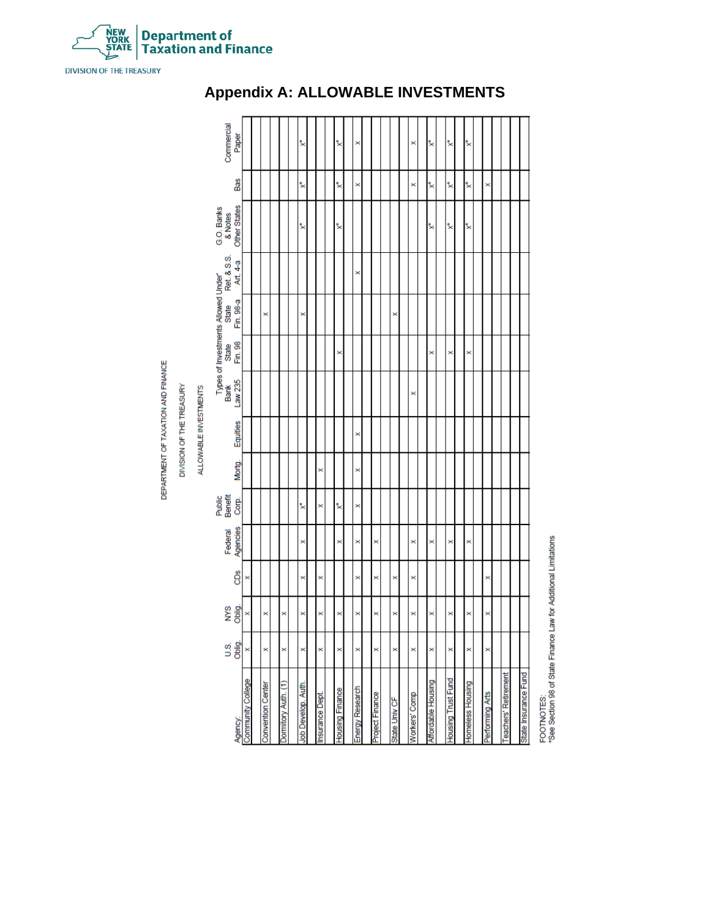

# **Appendix A: ALLOWABLE INVESTMENTS**

FOOTNOTES:<br>\*See Sedion 98 of State Finance Law for Additional Limitations

NEW<br>YORK<br>ȘTATE **Department of<br>Taxation and Finance** 

> DEPARTMENT OF TAXATION AND FINANCE DIVISION OF THE TREASURY

**DIVISION OF THE TREASURY**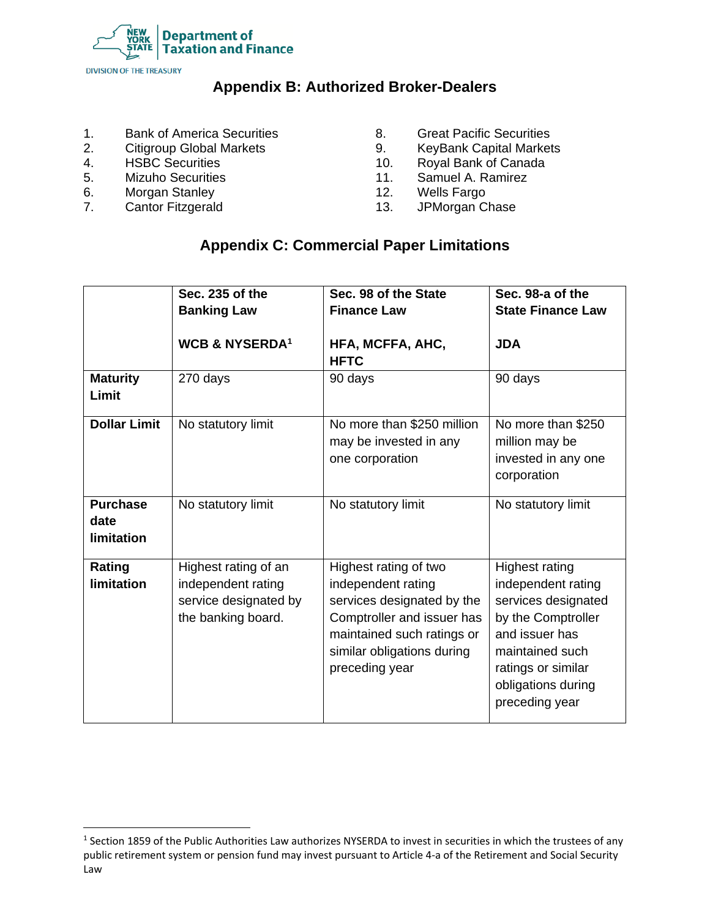

# **Appendix B: Authorized Broker-Dealers**

- 1. Bank of America Securities
- 2. Citigroup Global Markets
- 4. HSBC Securities
- 5. Mizuho Securities
- 6. Morgan Stanley
- 7. Cantor Fitzgerald
- 8. Great Pacific Securities
- 9. KeyBank Capital Markets
- 10. Royal Bank of Canada
- 11. Samuel A. Ramirez
- 12. Wells Fargo
- 13. JPMorgan Chase

# **Appendix C: Commercial Paper Limitations**

|                                              | Sec. 235 of the<br><b>Banking Law</b>                                                     | Sec. 98 of the State<br><b>Finance Law</b>                                                                                                                                            | Sec. 98-a of the<br><b>State Finance Law</b>                                                                                                                                         |
|----------------------------------------------|-------------------------------------------------------------------------------------------|---------------------------------------------------------------------------------------------------------------------------------------------------------------------------------------|--------------------------------------------------------------------------------------------------------------------------------------------------------------------------------------|
|                                              | <b>WCB &amp; NYSERDA1</b>                                                                 | HFA, MCFFA, AHC,<br><b>HFTC</b>                                                                                                                                                       | <b>JDA</b>                                                                                                                                                                           |
| <b>Maturity</b><br>Limit                     | 270 days                                                                                  | 90 days                                                                                                                                                                               | 90 days                                                                                                                                                                              |
| <b>Dollar Limit</b>                          | No statutory limit                                                                        | No more than \$250 million<br>may be invested in any<br>one corporation                                                                                                               | No more than \$250<br>million may be<br>invested in any one<br>corporation                                                                                                           |
| <b>Purchase</b><br>date<br><b>limitation</b> | No statutory limit                                                                        | No statutory limit                                                                                                                                                                    | No statutory limit                                                                                                                                                                   |
| Rating<br><b>limitation</b>                  | Highest rating of an<br>independent rating<br>service designated by<br>the banking board. | Highest rating of two<br>independent rating<br>services designated by the<br>Comptroller and issuer has<br>maintained such ratings or<br>similar obligations during<br>preceding year | Highest rating<br>independent rating<br>services designated<br>by the Comptroller<br>and issuer has<br>maintained such<br>ratings or similar<br>obligations during<br>preceding year |

 $1$  Section 1859 of the Public Authorities Law authorizes NYSERDA to invest in securities in which the trustees of any public retirement system or pension fund may invest pursuant to Article 4-a of the Retirement and Social Security Law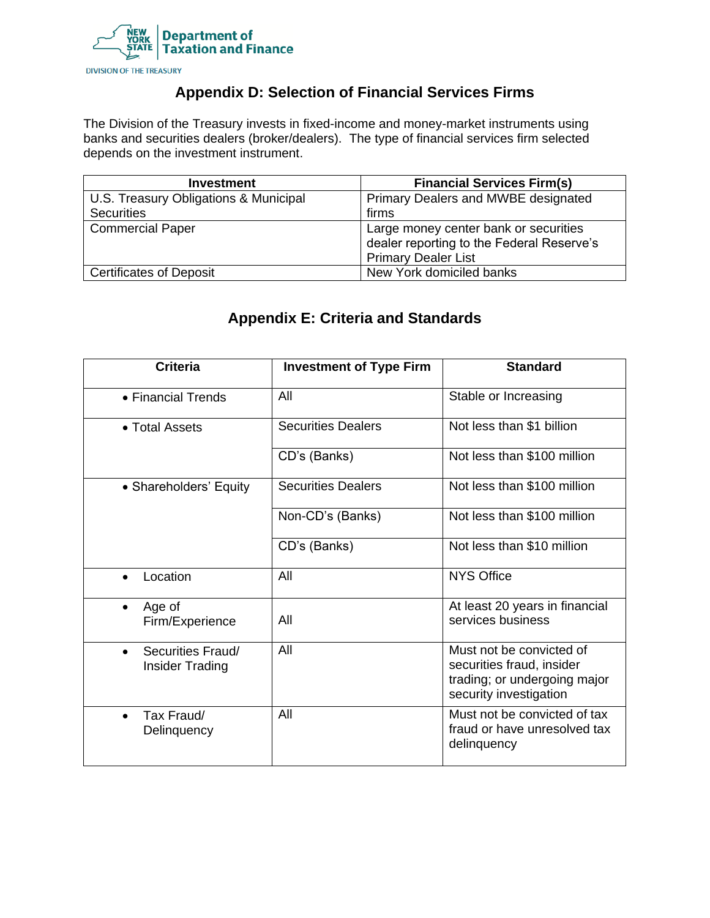

# **Appendix D: Selection of Financial Services Firms**

The Division of the Treasury invests in fixed-income and money-market instruments using banks and securities dealers (broker/dealers). The type of financial services firm selected depends on the investment instrument.

| <b>Investment</b>                     | <b>Financial Services Firm(s)</b>         |  |
|---------------------------------------|-------------------------------------------|--|
| U.S. Treasury Obligations & Municipal | Primary Dealers and MWBE designated       |  |
| <b>Securities</b>                     | firms                                     |  |
| <b>Commercial Paper</b>               | Large money center bank or securities     |  |
|                                       | dealer reporting to the Federal Reserve's |  |
|                                       | <b>Primary Dealer List</b>                |  |
| <b>Certificates of Deposit</b>        | New York domiciled banks                  |  |

# **Appendix E: Criteria and Standards**

| <b>Criteria</b>                                   | <b>Investment of Type Firm</b> | <b>Standard</b>                                                                                                 |
|---------------------------------------------------|--------------------------------|-----------------------------------------------------------------------------------------------------------------|
| • Financial Trends                                | All                            | Stable or Increasing                                                                                            |
| • Total Assets                                    | <b>Securities Dealers</b>      | Not less than \$1 billion                                                                                       |
|                                                   | CD's (Banks)                   | Not less than \$100 million                                                                                     |
| • Shareholders' Equity                            | <b>Securities Dealers</b>      | Not less than \$100 million                                                                                     |
|                                                   | Non-CD's (Banks)               | Not less than \$100 million                                                                                     |
|                                                   | CD's (Banks)                   | Not less than \$10 million                                                                                      |
| Location                                          | All                            | <b>NYS Office</b>                                                                                               |
| Age of<br>Firm/Experience                         | All                            | At least 20 years in financial<br>services business                                                             |
| Securities Fraud/<br>$\bullet$<br>Insider Trading | All                            | Must not be convicted of<br>securities fraud, insider<br>trading; or undergoing major<br>security investigation |
| Tax Fraud/<br>Delinquency                         | All                            | Must not be convicted of tax<br>fraud or have unresolved tax<br>delinquency                                     |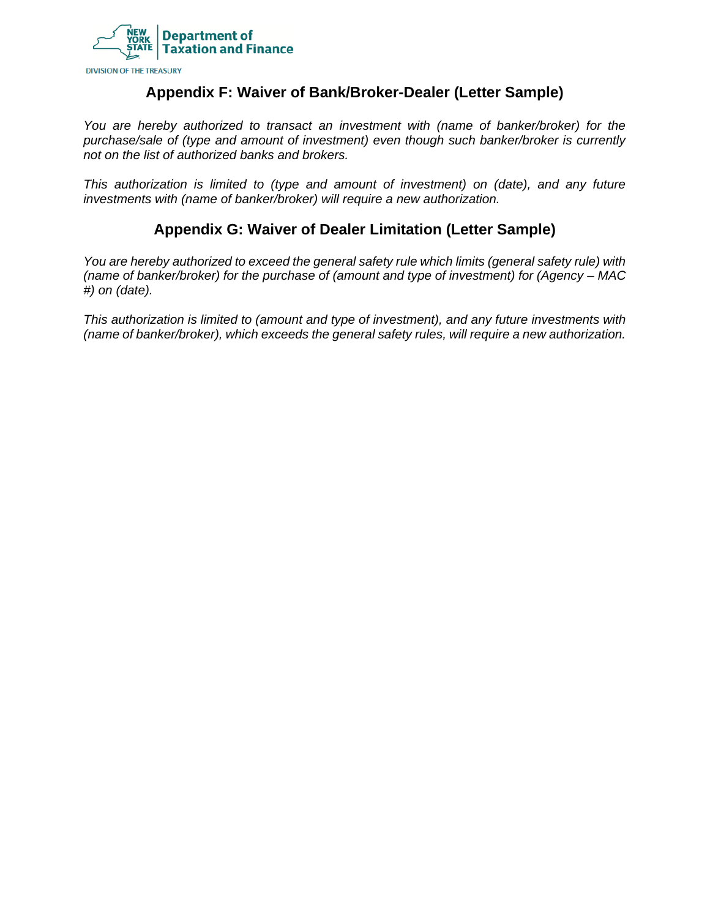

### **Appendix F: Waiver of Bank/Broker-Dealer (Letter Sample)**

*You are hereby authorized to transact an investment with (name of banker/broker) for the purchase/sale of (type and amount of investment) even though such banker/broker is currently not on the list of authorized banks and brokers.*

*This authorization is limited to (type and amount of investment) on (date), and any future investments with (name of banker/broker) will require a new authorization.*

## **Appendix G: Waiver of Dealer Limitation (Letter Sample)**

*You are hereby authorized to exceed the general safety rule which limits (general safety rule) with (name of banker/broker) for the purchase of (amount and type of investment) for (Agency – MAC #) on (date).*

*This authorization is limited to (amount and type of investment), and any future investments with (name of banker/broker), which exceeds the general safety rules, will require a new authorization.*